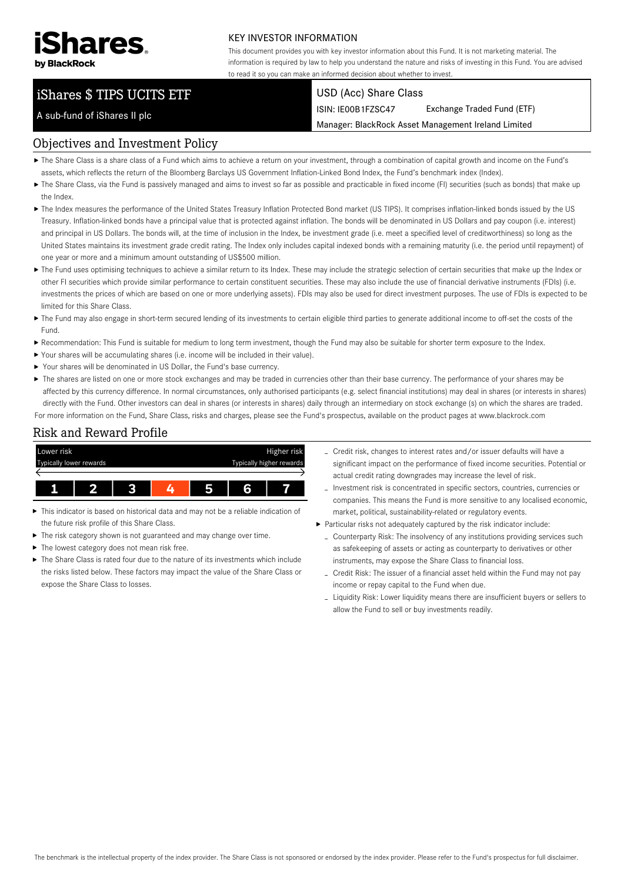

### KEY INVESTOR INFORMATION

This document provides you with key investor information about this Fund. It is not marketing material. The information is required by law to help you understand the nature and risks of investing in this Fund. You are advised to read it so you can make an informed decision about whether to invest.

# iShares \$ TIPS UCITS ETF

#### USD (Acc) Share Class

ISIN: IE00B1FZSC47 Exchange Traded Fund (ETF)

Manager: BlackRock Asset Management Ireland Limited

A sub-fund of iShares II plc

### Objectives and Investment Policy

- The Share Class is a share class of a Fund which aims to achieve a return on your investment, through a combination of capital growth and income on the Fund's assets, which reflects the return of the Bloomberg Barclays US Government Inflation-Linked Bond Index, the Fund's benchmark index (Index).
- ▶ The Share Class, via the Fund is passively managed and aims to invest so far as possible and practicable in fixed income (FI) securities (such as bonds) that make up the Index.
- ▶ The Index measures the performance of the United States Treasury Inflation Protected Bond market (US TIPS). It comprises inflation-linked bonds issued by the US Treasury. Inflation-linked bonds have a principal value that is protected against inflation. The bonds will be denominated in US Dollars and pay coupon (i.e. interest) and principal in US Dollars. The bonds will, at the time of inclusion in the Index, be investment grade (i.e. meet a specified level of creditworthiness) so long as the United States maintains its investment grade credit rating. The Index only includes capital indexed bonds with a remaining maturity (i.e. the period until repayment) of one year or more and a minimum amount outstanding of US\$500 million.
- ▶ The Fund uses optimising techniques to achieve a similar return to its Index. These may include the strategic selection of certain securities that make up the Index or other FI securities which provide similar performance to certain constituent securities. These may also include the use of financial derivative instruments (FDIs) (i.e. investments the prices of which are based on one or more underlying assets). FDIs may also be used for direct investment purposes. The use of FDIs is expected to be limited for this Share Class.
- ▶ The Fund may also engage in short-term secured lending of its investments to certain eligible third parties to generate additional income to off-set the costs of the Fund.
- Recommendation: This Fund is suitable for medium to long term investment, though the Fund may also be suitable for shorter term exposure to the Index.
- Your shares will be accumulating shares (i.e. income will be included in their value).
- Your shares will be denominated in US Dollar, the Fund's base currency.
- ▶ The shares are listed on one or more stock exchanges and may be traded in currencies other than their base currency. The performance of your shares may be affected by this currency difference. In normal circumstances, only authorised participants (e.g. select financial institutions) may deal in shares (or interests in shares) directly with the Fund. Other investors can deal in shares (or interests in shares) daily through an intermediary on stock exchange (s) on which the shares are traded. For more information on the Fund, Share Class, risks and charges, please see the Fund's prospectus, available on the product pages at www.blackrock.com

## Risk and Reward Profile



- This indicator is based on historical data and may not be a reliable indication of the future risk profile of this Share Class.
- The risk category shown is not guaranteed and may change over time.
- The lowest category does not mean risk free. ь
- $\triangleright$  The Share Class is rated four due to the nature of its investments which include the risks listed below. These factors may impact the value of the Share Class or expose the Share Class to losses.
- Credit risk, changes to interest rates and/or issuer defaults will have a significant impact on the performance of fixed income securities. Potential or actual credit rating downgrades may increase the level of risk.
- Investment risk is concentrated in specific sectors, countries, currencies or companies. This means the Fund is more sensitive to any localised economic, market, political, sustainability-related or regulatory events.
- Particular risks not adequately captured by the risk indicator include:
	- Counterparty Risk: The insolvency of any institutions providing services such as safekeeping of assets or acting as counterparty to derivatives or other instruments, may expose the Share Class to financial loss.
	- Credit Risk: The issuer of a financial asset held within the Fund may not pay income or repay capital to the Fund when due.
	- Liquidity Risk: Lower liquidity means there are insufficient buyers or sellers to allow the Fund to sell or buy investments readily.